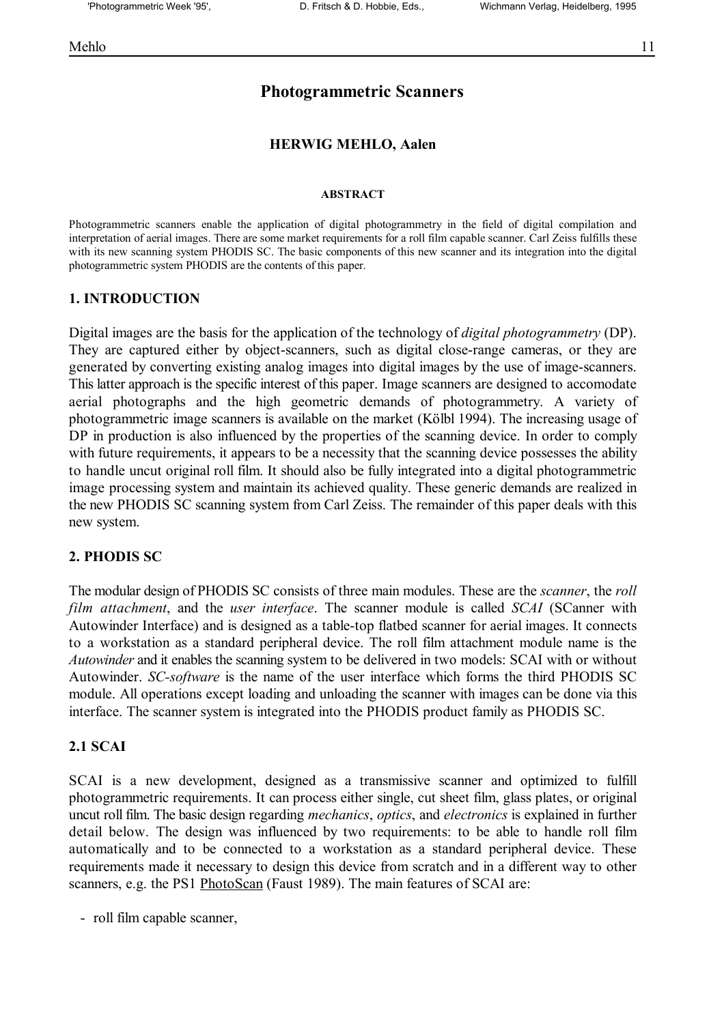# **Photogrammetric Scanners**

## **HERWIG MEHLO, Aalen**

### **ABSTRACT**

Photogrammetric scanners enable the application of digital photogrammetry in the field of digital compilation and interpretation of aerial images. There are some market requirements for a roll film capable scanner. Carl Zeiss fulfills these with its new scanning system PHODIS SC. The basic components of this new scanner and its integration into the digital photogrammetric system PHODIS are the contents of this paper.

# **1. INTRODUCTION**

Digital images are the basis for the application of the technology of *digital photogrammetry* (DP). They are captured either by object-scanners, such as digital close-range cameras, or they are generated by converting existing analog images into digital images by the use of image-scanners. This latter approach is the specific interest of this paper. Image scanners are designed to accomodate aerial photographs and the high geometric demands of photogrammetry. A variety of photogrammetric image scanners is available on the market (Kölbl 1994). The increasing usage of DP in production is also influenced by the properties of the scanning device. In order to comply with future requirements, it appears to be a necessity that the scanning device possesses the ability to handle uncut original roll film. It should also be fully integrated into a digital photogrammetric image processing system and maintain its achieved quality. These generic demands are realized in the new PHODIS SC scanning system from Carl Zeiss. The remainder of this paper deals with this new system.

# **2. PHODIS SC**

The modular design of PHODIS SC consists of three main modules. These are the *scanner*, the *roll film attachment*, and the *user interface*. The scanner module is called *SCAI* (SCanner with Autowinder Interface) and is designed as a table-top flatbed scanner for aerial images. It connects to a workstation as a standard peripheral device. The roll film attachment module name is the *Autowinder* and it enables the scanning system to be delivered in two models: SCAI with or without Autowinder. *SC-software* is the name of the user interface which forms the third PHODIS SC module. All operations except loading and unloading the scanner with images can be done via this interface. The scanner system is integrated into the PHODIS product family as PHODIS SC.

# **2.1 SCAI**

SCAI is a new development, designed as a transmissive scanner and optimized to fulfill photogrammetric requirements. It can process either single, cut sheet film, glass plates, or original uncut roll film. The basic design regarding *mechanics*, *optics*, and *electronics* is explained in further detail below. The design was influenced by two requirements: to be able to handle roll film automatically and to be connected to a workstation as a standard peripheral device. These requirements made it necessary to design this device from scratch and in a different way to other scanners, e.g. the PS1 PhotoScan (Faust 1989). The main features of SCAI are:

- roll film capable scanner,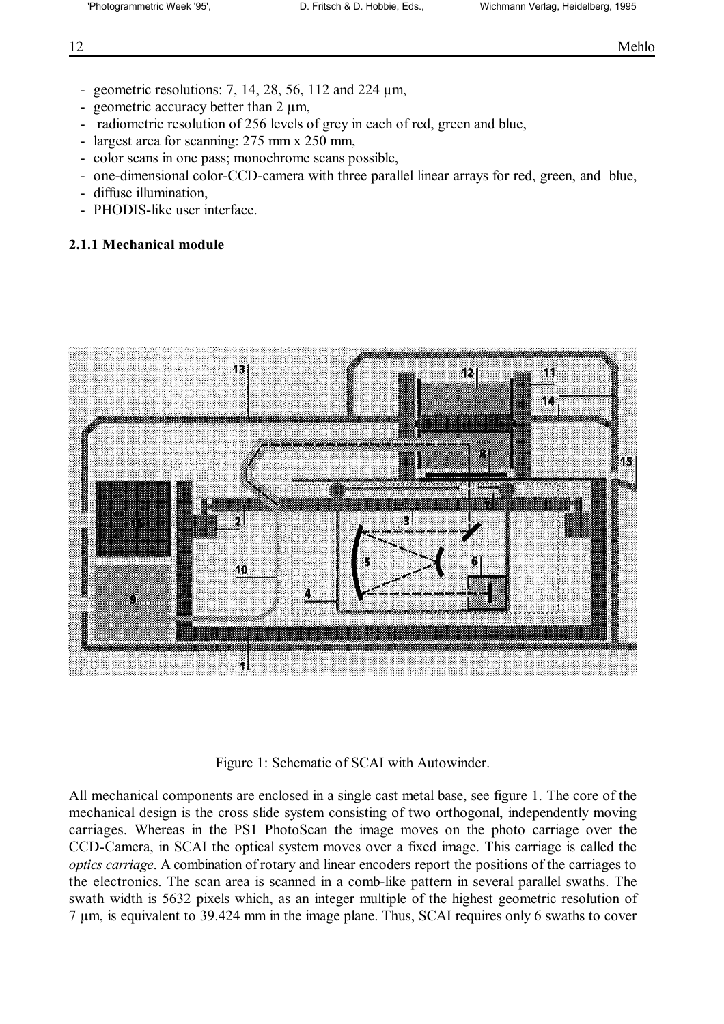- geometric resolutions: 7, 14, 28, 56, 112 and 224  $\mu$ m,
- geometric accuracy better than 2  $\mu$ m,
- radiometric resolution of 256 levels of grey in each of red, green and blue,
- largest area for scanning: 275 mm x 250 mm,
- color scans in one pass; monochrome scans possible,
- one-dimensional color-CCD-camera with three parallel linear arrays for red, green, and blue,
- diffuse illumination,
- PHODIS-like user interface.

# **2.1.1 Mechanical module**



Figure 1: Schematic of SCAI with Autowinder.

All mechanical components are enclosed in a single cast metal base, see figure 1. The core of the mechanical design is the cross slide system consisting of two orthogonal, independently moving carriages. Whereas in the PS1 PhotoScan the image moves on the photo carriage over the CCD-Camera, in SCAI the optical system moves over a fixed image. This carriage is called the *optics carriage*. A combination of rotary and linear encoders report the positions of the carriages to the electronics. The scan area is scanned in a comb-like pattern in several parallel swaths. The swath width is 5632 pixels which, as an integer multiple of the highest geometric resolution of 7 µm, is equivalent to 39.424 mm in the image plane. Thus, SCAI requires only 6 swaths to cover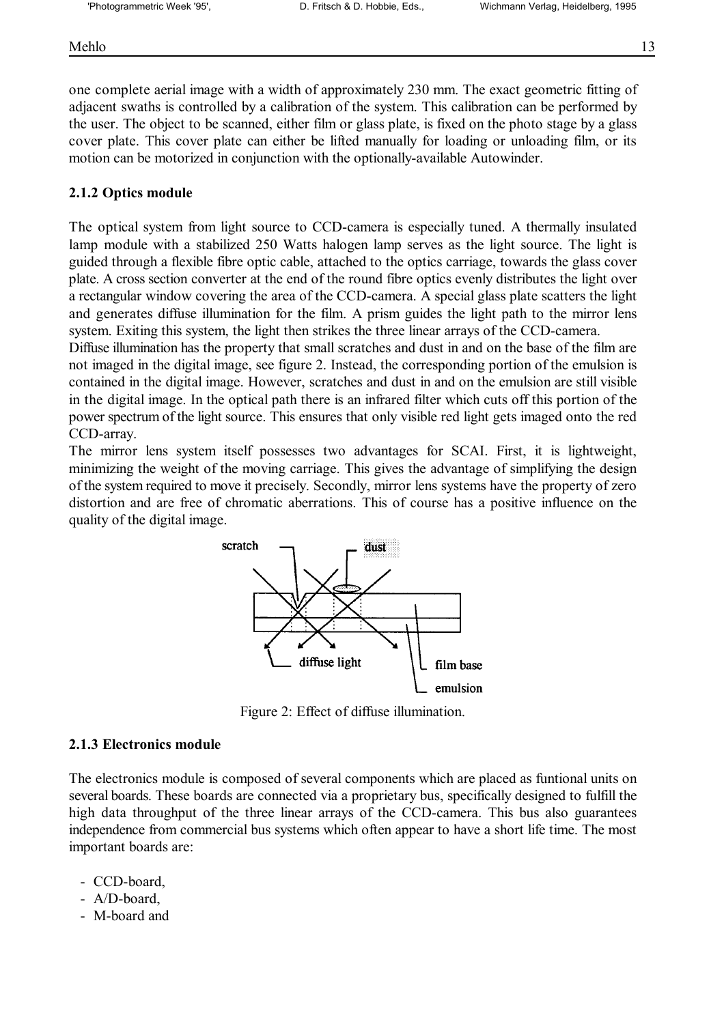Mehlo 13

one complete aerial image with a width of approximately 230 mm. The exact geometric fitting of adjacent swaths is controlled by a calibration of the system. This calibration can be performed by the user. The object to be scanned, either film or glass plate, is fixed on the photo stage by a glass cover plate. This cover plate can either be lifted manually for loading or unloading film, or its motion can be motorized in conjunction with the optionally-available Autowinder.

# **2.1.2 Optics module**

The optical system from light source to CCD-camera is especially tuned. A thermally insulated lamp module with a stabilized 250 Watts halogen lamp serves as the light source. The light is guided through a flexible fibre optic cable, attached to the optics carriage, towards the glass cover plate. A cross section converter at the end of the round fibre optics evenly distributes the light over a rectangular window covering the area of the CCD-camera. A special glass plate scatters the light and generates diffuse illumination for the film. A prism guides the light path to the mirror lens system. Exiting this system, the light then strikes the three linear arrays of the CCD-camera.

Diffuse illumination has the property that small scratches and dust in and on the base of the film are not imaged in the digital image, see figure 2. Instead, the corresponding portion of the emulsion is contained in the digital image. However, scratches and dust in and on the emulsion are still visible in the digital image. In the optical path there is an infrared filter which cuts off this portion of the power spectrum of the light source. This ensures that only visible red light gets imaged onto the red CCD-array.

The mirror lens system itself possesses two advantages for SCAI. First, it is lightweight, minimizing the weight of the moving carriage. This gives the advantage of simplifying the design of the system required to move it precisely. Secondly, mirror lens systems have the property of zero distortion and are free of chromatic aberrations. This of course has a positive influence on the quality of the digital image.



Figure 2: Effect of diffuse illumination.

# **2.1.3 Electronics module**

The electronics module is composed of several components which are placed as funtional units on several boards. These boards are connected via a proprietary bus, specifically designed to fulfill the high data throughput of the three linear arrays of the CCD-camera. This bus also guarantees independence from commercial bus systems which often appear to have a short life time. The most important boards are:

- CCD-board,
- A/D-board,
- M-board and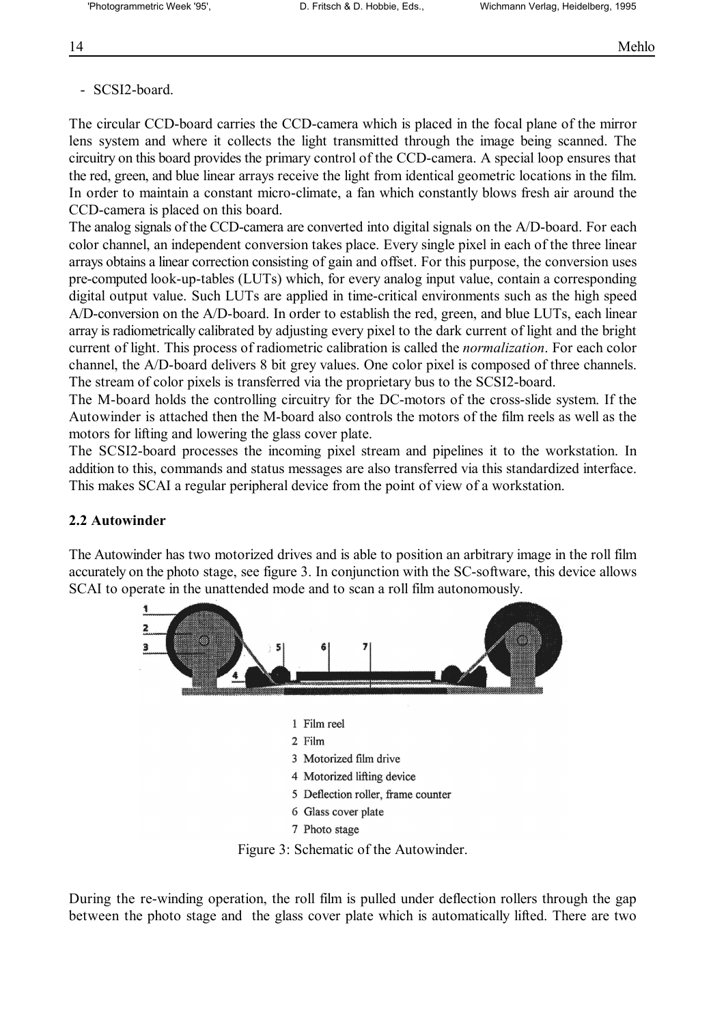# - SCSI2-board.

The circular CCD-board carries the CCD-camera which is placed in the focal plane of the mirror lens system and where it collects the light transmitted through the image being scanned. The circuitry on this board provides the primary control of the CCD-camera. A special loop ensures that the red, green, and blue linear arrays receive the light from identical geometric locations in the film. In order to maintain a constant micro-climate, a fan which constantly blows fresh air around the CCD-camera is placed on this board.

The analog signals of the CCD-camera are converted into digital signals on the A/D-board. For each color channel, an independent conversion takes place. Every single pixel in each of the three linear arrays obtains a linear correction consisting of gain and offset. For this purpose, the conversion uses pre-computed look-up-tables (LUTs) which, for every analog input value, contain a corresponding digital output value. Such LUTs are applied in time-critical environments such as the high speed A/D-conversion on the A/D-board. In order to establish the red, green, and blue LUTs, each linear array is radiometrically calibrated by adjusting every pixel to the dark current of light and the bright current of light. This process of radiometric calibration is called the *normalization*. For each color channel, the A/D-board delivers 8 bit grey values. One color pixel is composed of three channels. The stream of color pixels is transferred via the proprietary bus to the SCSI2-board.

The M-board holds the controlling circuitry for the DC-motors of the cross-slide system. If the Autowinder is attached then the M-board also controls the motors of the film reels as well as the motors for lifting and lowering the glass cover plate.

The SCSI2-board processes the incoming pixel stream and pipelines it to the workstation. In addition to this, commands and status messages are also transferred via this standardized interface. This makes SCAI a regular peripheral device from the point of view of a workstation.

# **2.2 Autowinder**

The Autowinder has two motorized drives and is able to position an arbitrary image in the roll film accurately on the photo stage, see figure 3. In conjunction with the SC-software, this device allows SCAI to operate in the unattended mode and to scan a roll film autonomously.



During the re-winding operation, the roll film is pulled under deflection rollers through the gap between the photo stage and the glass cover plate which is automatically lifted. There are two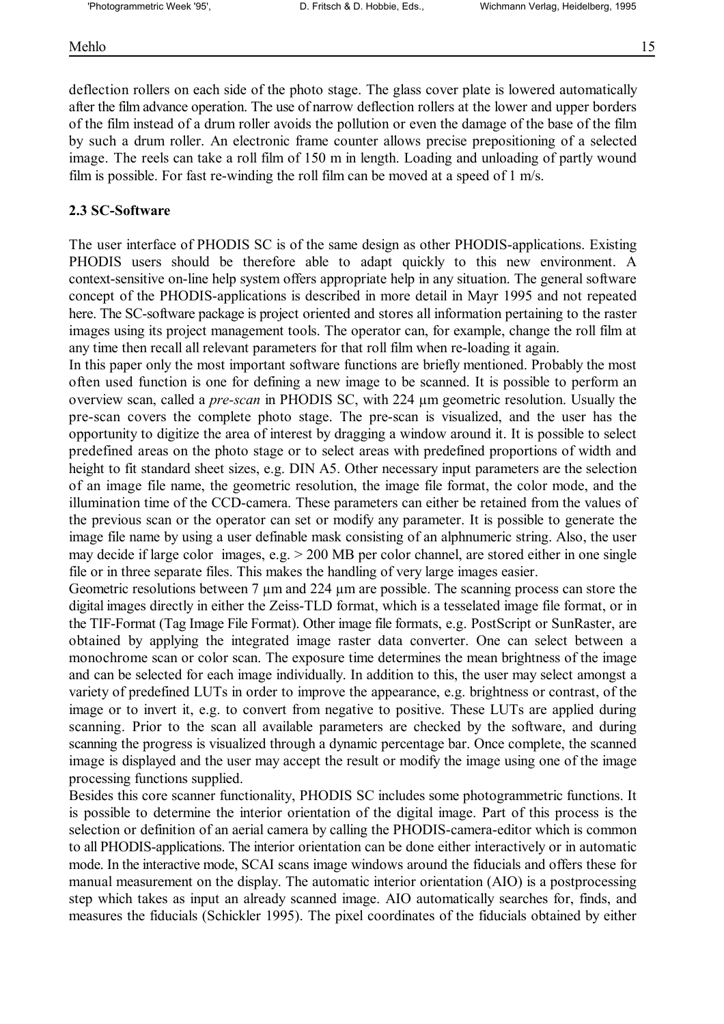### Mehlo 15

deflection rollers on each side of the photo stage. The glass cover plate is lowered automatically after the film advance operation. The use of narrow deflection rollers at the lower and upper borders of the film instead of a drum roller avoids the pollution or even the damage of the base of the film by such a drum roller. An electronic frame counter allows precise prepositioning of a selected image. The reels can take a roll film of 150 m in length. Loading and unloading of partly wound film is possible. For fast re-winding the roll film can be moved at a speed of 1 m/s.

# **2.3 SC-Software**

The user interface of PHODIS SC is of the same design as other PHODIS-applications. Existing PHODIS users should be therefore able to adapt quickly to this new environment. A context-sensitive on-line help system offers appropriate help in any situation. The general software concept of the PHODIS-applications is described in more detail in Mayr 1995 and not repeated here. The SC-software package is project oriented and stores all information pertaining to the raster images using its project management tools. The operator can, for example, change the roll film at any time then recall all relevant parameters for that roll film when re-loading it again.

In this paper only the most important software functions are briefly mentioned. Probably the most often used function is one for defining a new image to be scanned. It is possible to perform an overview scan, called a *pre-scan* in PHODIS SC, with 224 µm geometric resolution. Usually the pre-scan covers the complete photo stage. The pre-scan is visualized, and the user has the opportunity to digitize the area of interest by dragging a window around it. It is possible to select predefined areas on the photo stage or to select areas with predefined proportions of width and height to fit standard sheet sizes, e.g. DIN A5. Other necessary input parameters are the selection of an image file name, the geometric resolution, the image file format, the color mode, and the illumination time of the CCD-camera. These parameters can either be retained from the values of the previous scan or the operator can set or modify any parameter. It is possible to generate the image file name by using a user definable mask consisting of an alphnumeric string. Also, the user may decide if large color images, e.g. > 200 MB per color channel, are stored either in one single file or in three separate files. This makes the handling of very large images easier.

Geometric resolutions between 7  $\mu$ m and 224  $\mu$ m are possible. The scanning process can store the digital images directly in either the Zeiss-TLD format, which is a tesselated image file format, or in the TIF-Format (Tag Image File Format). Other image file formats, e.g. PostScript or SunRaster, are obtained by applying the integrated image raster data converter. One can select between a monochrome scan or color scan. The exposure time determines the mean brightness of the image and can be selected for each image individually. In addition to this, the user may select amongst a variety of predefined LUTs in order to improve the appearance, e.g. brightness or contrast, of the image or to invert it, e.g. to convert from negative to positive. These LUTs are applied during scanning. Prior to the scan all available parameters are checked by the software, and during scanning the progress is visualized through a dynamic percentage bar. Once complete, the scanned image is displayed and the user may accept the result or modify the image using one of the image processing functions supplied.

Besides this core scanner functionality, PHODIS SC includes some photogrammetric functions. It is possible to determine the interior orientation of the digital image. Part of this process is the selection or definition of an aerial camera by calling the PHODIS-camera-editor which is common to all PHODIS-applications. The interior orientation can be done either interactively or in automatic mode. In the interactive mode, SCAI scans image windows around the fiducials and offers these for manual measurement on the display. The automatic interior orientation (AIO) is a postprocessing step which takes as input an already scanned image. AIO automatically searches for, finds, and measures the fiducials (Schickler 1995). The pixel coordinates of the fiducials obtained by either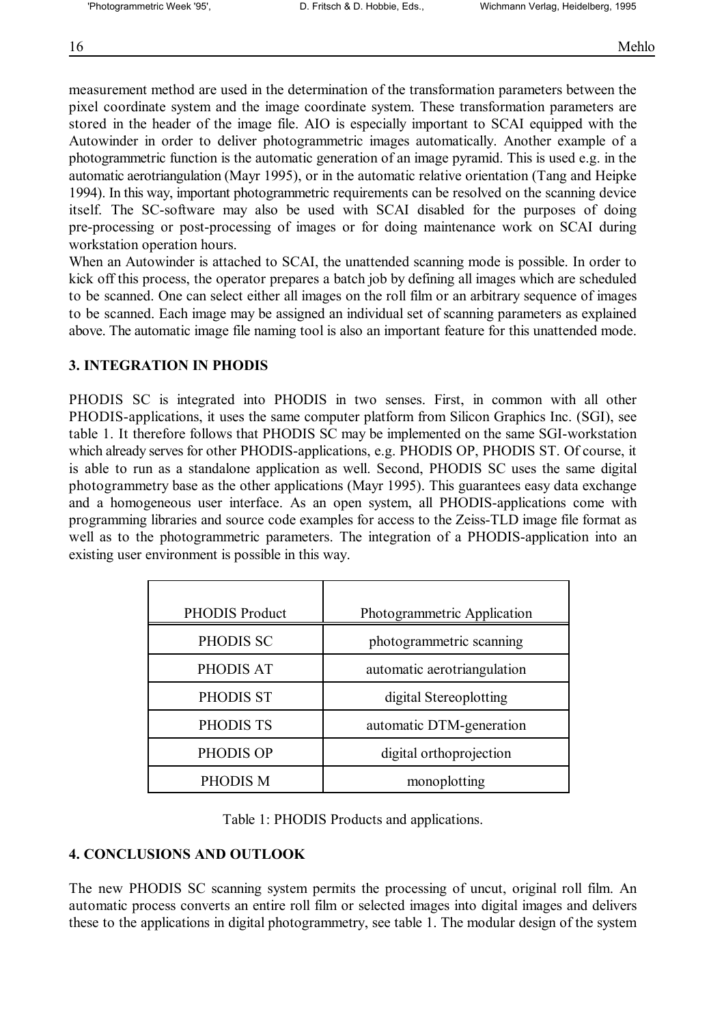measurement method are used in the determination of the transformation parameters between the pixel coordinate system and the image coordinate system. These transformation parameters are stored in the header of the image file. AIO is especially important to SCAI equipped with the Autowinder in order to deliver photogrammetric images automatically. Another example of a photogrammetric function is the automatic generation of an image pyramid. This is used e.g. in the automatic aerotriangulation (Mayr 1995), or in the automatic relative orientation (Tang and Heipke 1994). In this way, important photogrammetric requirements can be resolved on the scanning device itself. The SC-software may also be used with SCAI disabled for the purposes of doing pre-processing or post-processing of images or for doing maintenance work on SCAI during workstation operation hours.

When an Autowinder is attached to SCAI, the unattended scanning mode is possible. In order to kick off this process, the operator prepares a batch job by defining all images which are scheduled to be scanned. One can select either all images on the roll film or an arbitrary sequence of images to be scanned. Each image may be assigned an individual set of scanning parameters as explained above. The automatic image file naming tool is also an important feature for this unattended mode.

# **3. INTEGRATION IN PHODIS**

PHODIS SC is integrated into PHODIS in two senses. First, in common with all other PHODIS-applications, it uses the same computer platform from Silicon Graphics Inc. (SGI), see table 1. It therefore follows that PHODIS SC may be implemented on the same SGI-workstation which already serves for other PHODIS-applications, e.g. PHODIS OP, PHODIS ST. Of course, it is able to run as a standalone application as well. Second, PHODIS SC uses the same digital photogrammetry base as the other applications (Mayr 1995). This guarantees easy data exchange and a homogeneous user interface. As an open system, all PHODIS-applications come with programming libraries and source code examples for access to the Zeiss-TLD image file format as well as to the photogrammetric parameters. The integration of a PHODIS-application into an existing user environment is possible in this way.

| <b>PHODIS Product</b> | Photogrammetric Application |
|-----------------------|-----------------------------|
| PHODIS SC             | photogrammetric scanning    |
| PHODIS AT             | automatic aerotriangulation |
| PHODIS ST             | digital Stereoplotting      |
| PHODIS TS             | automatic DTM-generation    |
| PHODIS OP             | digital orthoprojection     |
| PHODIS M              | monoplotting                |

Table 1: PHODIS Products and applications.

# **4. CONCLUSIONS AND OUTLOOK**

The new PHODIS SC scanning system permits the processing of uncut, original roll film. An automatic process converts an entire roll film or selected images into digital images and delivers these to the applications in digital photogrammetry, see table 1. The modular design of the system